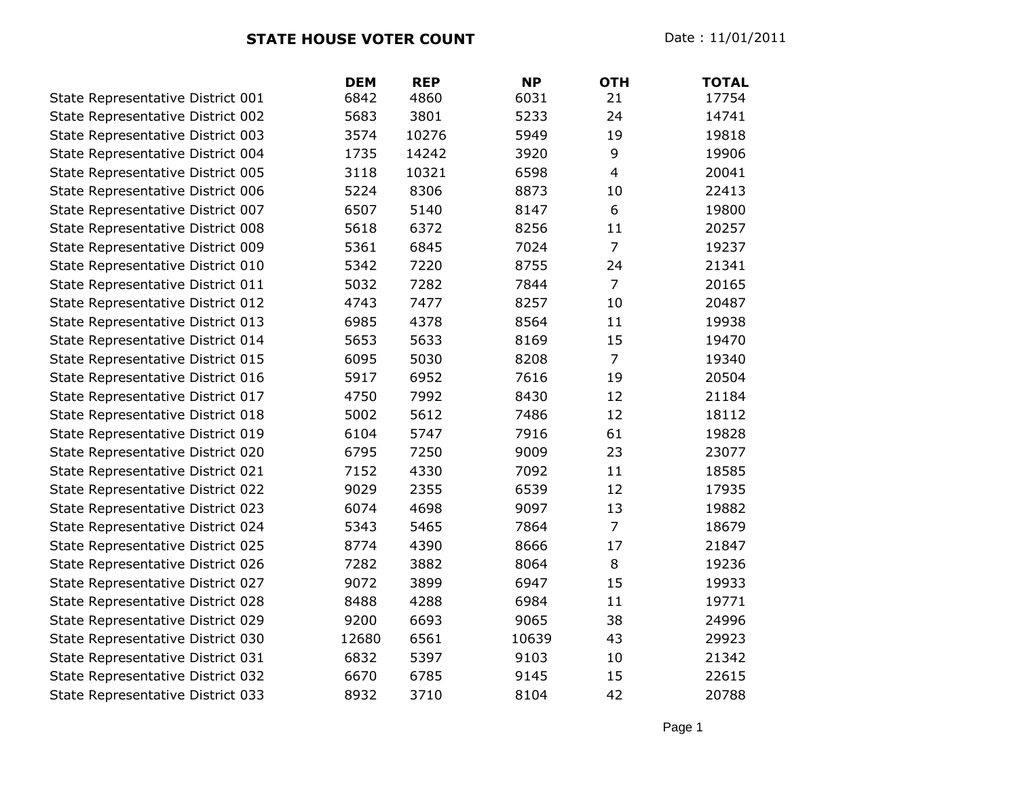|                                   | <b>DEM</b> | <b>REP</b> | <b>NP</b> | <b>OTH</b>     | <b>TOTAL</b> |
|-----------------------------------|------------|------------|-----------|----------------|--------------|
| State Representative District 001 | 6842       | 4860       | 6031      | 21             | 17754        |
| State Representative District 002 | 5683       | 3801       | 5233      | 24             | 14741        |
| State Representative District 003 | 3574       | 10276      | 5949      | 19             | 19818        |
| State Representative District 004 | 1735       | 14242      | 3920      | 9              | 19906        |
| State Representative District 005 | 3118       | 10321      | 6598      | $\overline{4}$ | 20041        |
| State Representative District 006 | 5224       | 8306       | 8873      | 10             | 22413        |
| State Representative District 007 | 6507       | 5140       | 8147      | 6              | 19800        |
| State Representative District 008 | 5618       | 6372       | 8256      | 11             | 20257        |
| State Representative District 009 | 5361       | 6845       | 7024      | $\overline{7}$ | 19237        |
| State Representative District 010 | 5342       | 7220       | 8755      | 24             | 21341        |
| State Representative District 011 | 5032       | 7282       | 7844      | $\overline{7}$ | 20165        |
| State Representative District 012 | 4743       | 7477       | 8257      | 10             | 20487        |
| State Representative District 013 | 6985       | 4378       | 8564      | 11             | 19938        |
| State Representative District 014 | 5653       | 5633       | 8169      | 15             | 19470        |
| State Representative District 015 | 6095       | 5030       | 8208      | $\overline{7}$ | 19340        |
| State Representative District 016 | 5917       | 6952       | 7616      | 19             | 20504        |
| State Representative District 017 | 4750       | 7992       | 8430      | 12             | 21184        |
| State Representative District 018 | 5002       | 5612       | 7486      | 12             | 18112        |
| State Representative District 019 | 6104       | 5747       | 7916      | 61             | 19828        |
| State Representative District 020 | 6795       | 7250       | 9009      | 23             | 23077        |
| State Representative District 021 | 7152       | 4330       | 7092      | 11             | 18585        |
| State Representative District 022 | 9029       | 2355       | 6539      | 12             | 17935        |
| State Representative District 023 | 6074       | 4698       | 9097      | 13             | 19882        |
| State Representative District 024 | 5343       | 5465       | 7864      | $\overline{7}$ | 18679        |
| State Representative District 025 | 8774       | 4390       | 8666      | 17             | 21847        |
| State Representative District 026 | 7282       | 3882       | 8064      | 8              | 19236        |
| State Representative District 027 | 9072       | 3899       | 6947      | 15             | 19933        |
| State Representative District 028 | 8488       | 4288       | 6984      | 11             | 19771        |
| State Representative District 029 | 9200       | 6693       | 9065      | 38             | 24996        |
| State Representative District 030 | 12680      | 6561       | 10639     | 43             | 29923        |
| State Representative District 031 | 6832       | 5397       | 9103      | 10             | 21342        |
| State Representative District 032 | 6670       | 6785       | 9145      | 15             | 22615        |
| State Representative District 033 | 8932       | 3710       | 8104      | 42             | 20788        |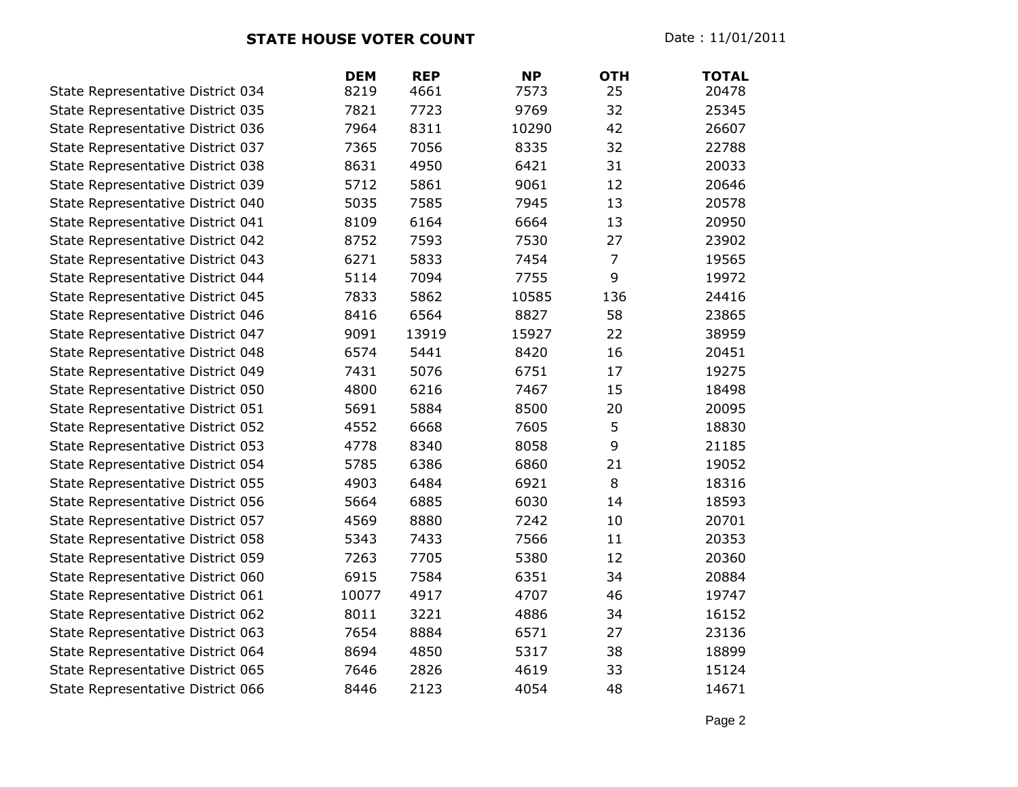**STATE HOUSE VOTER COUNT** Date : 11/01/2011

|                                   | <b>DEM</b> | <b>REP</b> | <b>NP</b> | <b>OTH</b>     | <b>TOTAL</b> |
|-----------------------------------|------------|------------|-----------|----------------|--------------|
| State Representative District 034 | 8219       | 4661       | 7573      | 25             | 20478        |
| State Representative District 035 | 7821       | 7723       | 9769      | 32             | 25345        |
| State Representative District 036 | 7964       | 8311       | 10290     | 42             | 26607        |
| State Representative District 037 | 7365       | 7056       | 8335      | 32             | 22788        |
| State Representative District 038 | 8631       | 4950       | 6421      | 31             | 20033        |
| State Representative District 039 | 5712       | 5861       | 9061      | 12             | 20646        |
| State Representative District 040 | 5035       | 7585       | 7945      | 13             | 20578        |
| State Representative District 041 | 8109       | 6164       | 6664      | 13             | 20950        |
| State Representative District 042 | 8752       | 7593       | 7530      | 27             | 23902        |
| State Representative District 043 | 6271       | 5833       | 7454      | $\overline{7}$ | 19565        |
| State Representative District 044 | 5114       | 7094       | 7755      | 9              | 19972        |
| State Representative District 045 | 7833       | 5862       | 10585     | 136            | 24416        |
| State Representative District 046 | 8416       | 6564       | 8827      | 58             | 23865        |
| State Representative District 047 | 9091       | 13919      | 15927     | 22             | 38959        |
| State Representative District 048 | 6574       | 5441       | 8420      | 16             | 20451        |
| State Representative District 049 | 7431       | 5076       | 6751      | 17             | 19275        |
| State Representative District 050 | 4800       | 6216       | 7467      | 15             | 18498        |
| State Representative District 051 | 5691       | 5884       | 8500      | 20             | 20095        |
| State Representative District 052 | 4552       | 6668       | 7605      | 5              | 18830        |
| State Representative District 053 | 4778       | 8340       | 8058      | 9              | 21185        |
| State Representative District 054 | 5785       | 6386       | 6860      | 21             | 19052        |
| State Representative District 055 | 4903       | 6484       | 6921      | 8              | 18316        |
| State Representative District 056 | 5664       | 6885       | 6030      | 14             | 18593        |
| State Representative District 057 | 4569       | 8880       | 7242      | 10             | 20701        |
| State Representative District 058 | 5343       | 7433       | 7566      | 11             | 20353        |
| State Representative District 059 | 7263       | 7705       | 5380      | 12             | 20360        |
| State Representative District 060 | 6915       | 7584       | 6351      | 34             | 20884        |
| State Representative District 061 | 10077      | 4917       | 4707      | 46             | 19747        |
| State Representative District 062 | 8011       | 3221       | 4886      | 34             | 16152        |
| State Representative District 063 | 7654       | 8884       | 6571      | 27             | 23136        |
| State Representative District 064 | 8694       | 4850       | 5317      | 38             | 18899        |
| State Representative District 065 | 7646       | 2826       | 4619      | 33             | 15124        |
| State Representative District 066 | 8446       | 2123       | 4054      | 48             | 14671        |

Page 2